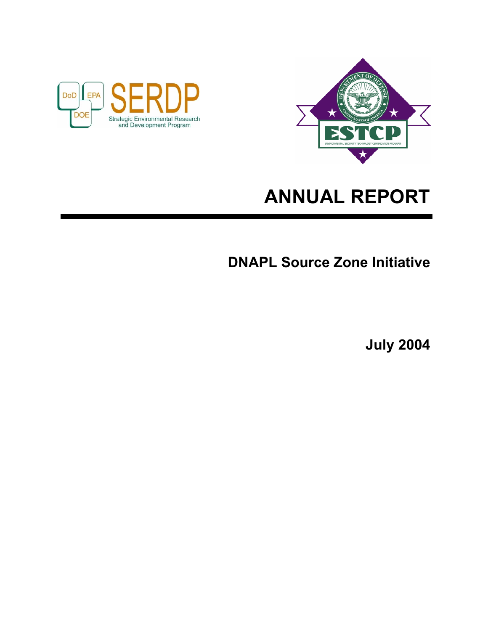



# **ANNUAL REPORT**

**DNAPL Source Zone Initiative** 

**July 2004**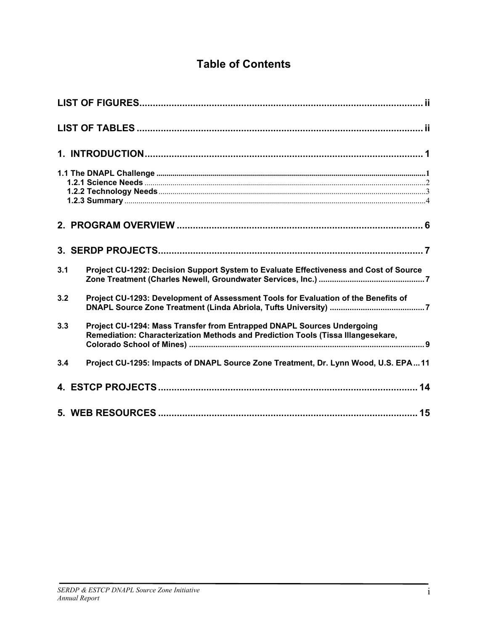# **Table of Contents**

| 3.1 | Project CU-1292: Decision Support System to Evaluate Effectiveness and Cost of Source                                                                      |  |
|-----|------------------------------------------------------------------------------------------------------------------------------------------------------------|--|
| 3.2 | Project CU-1293: Development of Assessment Tools for Evaluation of the Benefits of                                                                         |  |
| 3.3 | Project CU-1294: Mass Transfer from Entrapped DNAPL Sources Undergoing<br>Remediation: Characterization Methods and Prediction Tools (Tissa Illangesekare, |  |
| 3.4 | Project CU-1295: Impacts of DNAPL Source Zone Treatment, Dr. Lynn Wood, U.S. EPA11                                                                         |  |
|     |                                                                                                                                                            |  |
|     |                                                                                                                                                            |  |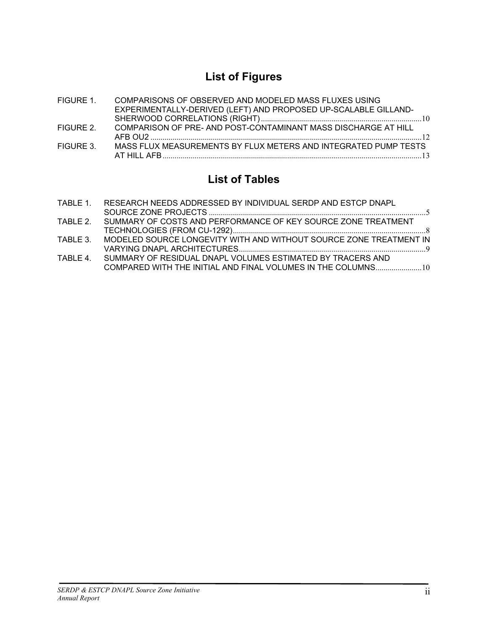# **List of Figures**

| FIGURE 1. | COMPARISONS OF OBSERVED AND MODELED MASS FLUXES USING           |  |
|-----------|-----------------------------------------------------------------|--|
|           | EXPERIMENTALLY-DERIVED (LEFT) AND PROPOSED UP-SCALABLE GILLAND- |  |
|           |                                                                 |  |
| FIGURE 2. | COMPARISON OF PRE- AND POST-CONTAMINANT MASS DISCHARGE AT HILL  |  |
|           |                                                                 |  |
| FIGURE 3. | MASS FLUX MEASUREMENTS BY FLUX METERS AND INTEGRATED PUMP TESTS |  |
|           |                                                                 |  |

# **List of Tables**

| TABLE 1. | RESEARCH NEEDS ADDRESSED BY INDIVIDUAL SERDP AND ESTCP DNAPL                                                                |  |
|----------|-----------------------------------------------------------------------------------------------------------------------------|--|
|          | TABLE 2. SUMMARY OF COSTS AND PERFORMANCE OF KEY SOURCE ZONE TREATMENT                                                      |  |
| TABLE 3. | MODELED SOURCE LONGEVITY WITH AND WITHOUT SOURCE ZONE TREATMENT IN                                                          |  |
| TARI F 4 | SUMMARY OF RESIDUAL DNAPL VOLUMES ESTIMATED BY TRACERS AND<br>COMPARED WITH THE INITIAL AND FINAL VOLUMES IN THE COLUMNS 10 |  |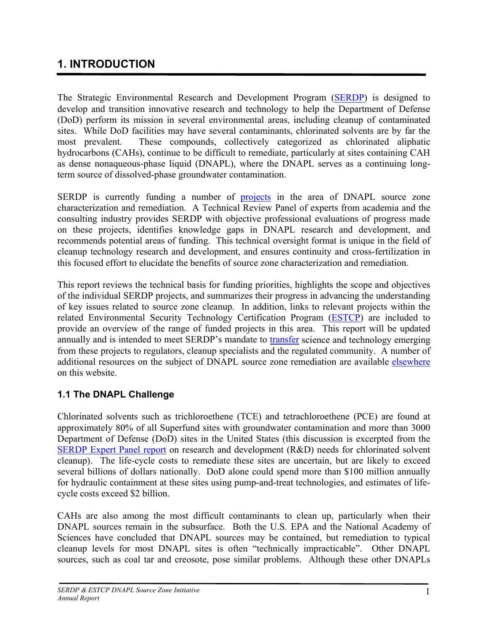# <span id="page-3-0"></span>**1. INTRODUCTION**

The Strategic Environmental Research and Development Program ([SERDP](http://www.serdp.org/default.html)) is designed to develop and transition innovative research and technology to help the Department of Defense (DoD) perform its mission in several environmental areas, including cleanup of contaminated sites. While DoD facilities may have several contaminants, chlorinated solvents are by far the most prevalent. These compounds, collectively categorized as chlorinated aliphatic hydrocarbons (CAHs), continue to be difficult to remediate, particularly at sites containing CAH as dense nonaqueous-phase liquid (DNAPL), where the DNAPL serves as a continuing longterm source of dissolved-phase groundwater contamination.

SERDP is currently funding a number of **[projects](http://www.serdp-estcp.org/DNAPL.cfm)** in the area of DNAPL source zone characterization and remediation. A Technical Review Panel of experts from academia and the consulting industry provides SERDP with objective professional evaluations of progress made on these projects, identifies knowledge gaps in DNAPL research and development, and recommends potential areas of funding. This technical oversight format is unique in the field of cleanup technology research and development, and ensures continuity and cross-fertilization in this focused effort to elucidate the benefits of source zone characterization and remediation.

This report reviews the technical basis for funding priorities, highlights the scope and objectives of the individual SERDP projects, and summarizes their progress in advancing the understanding of key issues related to source zone cleanup. In addition, links to relevant projects within the related Environmental Security Technology Certification Program [\(ESTCP](http://www.estcp.org/)) are included to provide an overview of the range of funded projects in this area. This report will be updated annually and is intended to meet SERDP's mandate to [transfer](http://www.serdp.org/general/about/technology/technology.html) science and technology emerging from these projects to regulators, cleanup specialists and the regulated community. A number of additional resources on the subject of DNAPL source zone remediation are available [elsewhere](http://www.serdp-estcp.org/DNAPL.cfm) on this website.

# **1.1 The DNAPL Challenge**

Chlorinated solvents such as trichloroethene (TCE) and tetrachloroethene (PCE) are found at approximately 80% of all Superfund sites with groundwater contamination and more than 3000 Department of Defense (DoD) sites in the United States (this discussion is excerpted from the [SERDP Expert Panel report](http://www.estcp.org/documents/techdocs/chlorsolvcleanup.pdf) on research and development (R&D) needs for chlorinated solvent cleanup). The life-cycle costs to remediate these sites are uncertain, but are likely to exceed several billions of dollars nationally. DoD alone could spend more than \$100 million annually for hydraulic containment at these sites using pump-and-treat technologies, and estimates of lifecycle costs exceed \$2 billion.

CAHs are also among the most difficult contaminants to clean up, particularly when their DNAPL sources remain in the subsurface. Both the U.S. EPA and the National Academy of Sciences have concluded that DNAPL sources may be contained, but remediation to typical cleanup levels for most DNAPL sites is often "technically impracticable". Other DNAPL sources, such as coal tar and creosote, pose similar problems. Although these other DNAPLs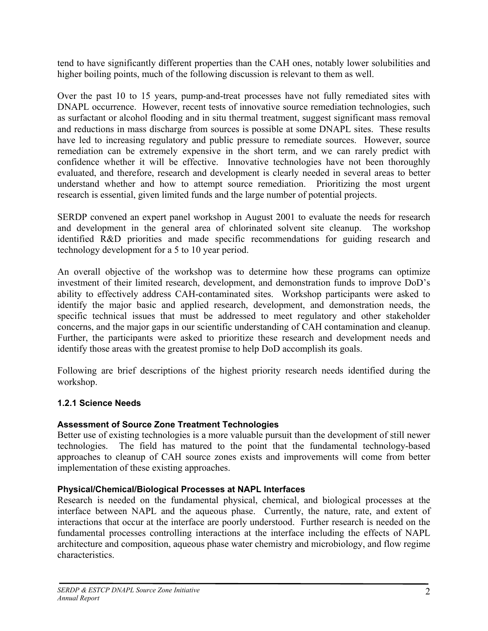<span id="page-4-0"></span>tend to have significantly different properties than the CAH ones, notably lower solubilities and higher boiling points, much of the following discussion is relevant to them as well.

Over the past 10 to 15 years, pump-and-treat processes have not fully remediated sites with DNAPL occurrence. However, recent tests of innovative source remediation technologies, such as surfactant or alcohol flooding and in situ thermal treatment, suggest significant mass removal and reductions in mass discharge from sources is possible at some DNAPL sites. These results have led to increasing regulatory and public pressure to remediate sources. However, source remediation can be extremely expensive in the short term, and we can rarely predict with confidence whether it will be effective. Innovative technologies have not been thoroughly evaluated, and therefore, research and development is clearly needed in several areas to better understand whether and how to attempt source remediation. Prioritizing the most urgent research is essential, given limited funds and the large number of potential projects.

SERDP convened an expert panel workshop in August 2001 to evaluate the needs for research and development in the general area of chlorinated solvent site cleanup. The workshop identified R&D priorities and made specific recommendations for guiding research and technology development for a 5 to 10 year period.

An overall objective of the workshop was to determine how these programs can optimize investment of their limited research, development, and demonstration funds to improve DoD's ability to effectively address CAH-contaminated sites. Workshop participants were asked to identify the major basic and applied research, development, and demonstration needs, the specific technical issues that must be addressed to meet regulatory and other stakeholder concerns, and the major gaps in our scientific understanding of CAH contamination and cleanup. Further, the participants were asked to prioritize these research and development needs and identify those areas with the greatest promise to help DoD accomplish its goals.

Following are brief descriptions of the highest priority research needs identified during the workshop.

# **1.2.1 Science Needs**

# **Assessment of Source Zone Treatment Technologies**

Better use of existing technologies is a more valuable pursuit than the development of still newer technologies. The field has matured to the point that the fundamental technology-based approaches to cleanup of CAH source zones exists and improvements will come from better implementation of these existing approaches.

# **Physical/Chemical/Biological Processes at NAPL Interfaces**

Research is needed on the fundamental physical, chemical, and biological processes at the interface between NAPL and the aqueous phase. Currently, the nature, rate, and extent of interactions that occur at the interface are poorly understood. Further research is needed on the fundamental processes controlling interactions at the interface including the effects of NAPL architecture and composition, aqueous phase water chemistry and microbiology, and flow regime characteristics.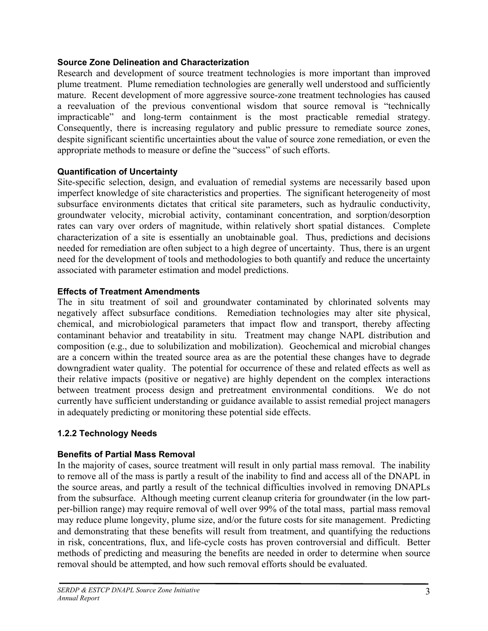#### <span id="page-5-0"></span>**Source Zone Delineation and Characterization**

Research and development of source treatment technologies is more important than improved plume treatment. Plume remediation technologies are generally well understood and sufficiently mature. Recent development of more aggressive source-zone treatment technologies has caused a reevaluation of the previous conventional wisdom that source removal is "technically impracticable" and long-term containment is the most practicable remedial strategy. Consequently, there is increasing regulatory and public pressure to remediate source zones, despite significant scientific uncertainties about the value of source zone remediation, or even the appropriate methods to measure or define the "success" of such efforts.

### **Quantification of Uncertainty**

Site-specific selection, design, and evaluation of remedial systems are necessarily based upon imperfect knowledge of site characteristics and properties. The significant heterogeneity of most subsurface environments dictates that critical site parameters, such as hydraulic conductivity, groundwater velocity, microbial activity, contaminant concentration, and sorption/desorption rates can vary over orders of magnitude, within relatively short spatial distances. Complete characterization of a site is essentially an unobtainable goal. Thus, predictions and decisions needed for remediation are often subject to a high degree of uncertainty. Thus, there is an urgent need for the development of tools and methodologies to both quantify and reduce the uncertainty associated with parameter estimation and model predictions.

# **Effects of Treatment Amendments**

The in situ treatment of soil and groundwater contaminated by chlorinated solvents may negatively affect subsurface conditions. Remediation technologies may alter site physical, chemical, and microbiological parameters that impact flow and transport, thereby affecting contaminant behavior and treatability in situ. Treatment may change NAPL distribution and composition (e.g., due to solubilization and mobilization). Geochemical and microbial changes are a concern within the treated source area as are the potential these changes have to degrade downgradient water quality. The potential for occurrence of these and related effects as well as their relative impacts (positive or negative) are highly dependent on the complex interactions between treatment process design and pretreatment environmental conditions. We do not currently have sufficient understanding or guidance available to assist remedial project managers in adequately predicting or monitoring these potential side effects.

# **1.2.2 Technology Needs**

# **Benefits of Partial Mass Removal**

In the majority of cases, source treatment will result in only partial mass removal. The inability to remove all of the mass is partly a result of the inability to find and access all of the DNAPL in the source areas, and partly a result of the technical difficulties involved in removing DNAPLs from the subsurface. Although meeting current cleanup criteria for groundwater (in the low partper-billion range) may require removal of well over 99% of the total mass, partial mass removal may reduce plume longevity, plume size, and/or the future costs for site management. Predicting and demonstrating that these benefits will result from treatment, and quantifying the reductions in risk, concentrations, flux, and life-cycle costs has proven controversial and difficult. Better methods of predicting and measuring the benefits are needed in order to determine when source removal should be attempted, and how such removal efforts should be evaluated.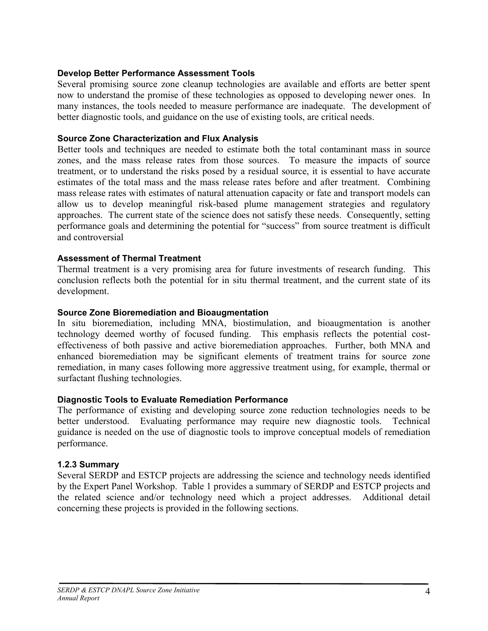#### <span id="page-6-0"></span>**Develop Better Performance Assessment Tools**

Several promising source zone cleanup technologies are available and efforts are better spent now to understand the promise of these technologies as opposed to developing newer ones. In many instances, the tools needed to measure performance are inadequate. The development of better diagnostic tools, and guidance on the use of existing tools, are critical needs.

#### **Source Zone Characterization and Flux Analysis**

Better tools and techniques are needed to estimate both the total contaminant mass in source zones, and the mass release rates from those sources. To measure the impacts of source treatment, or to understand the risks posed by a residual source, it is essential to have accurate estimates of the total mass and the mass release rates before and after treatment. Combining mass release rates with estimates of natural attenuation capacity or fate and transport models can allow us to develop meaningful risk-based plume management strategies and regulatory approaches. The current state of the science does not satisfy these needs. Consequently, setting performance goals and determining the potential for "success" from source treatment is difficult and controversial

#### **Assessment of Thermal Treatment**

Thermal treatment is a very promising area for future investments of research funding. This conclusion reflects both the potential for in situ thermal treatment, and the current state of its development.

#### **Source Zone Bioremediation and Bioaugmentation**

In situ bioremediation, including MNA, biostimulation, and bioaugmentation is another technology deemed worthy of focused funding. This emphasis reflects the potential costeffectiveness of both passive and active bioremediation approaches. Further, both MNA and enhanced bioremediation may be significant elements of treatment trains for source zone remediation, in many cases following more aggressive treatment using, for example, thermal or surfactant flushing technologies.

#### **Diagnostic Tools to Evaluate Remediation Performance**

The performance of existing and developing source zone reduction technologies needs to be better understood. Evaluating performance may require new diagnostic tools. Technical guidance is needed on the use of diagnostic tools to improve conceptual models of remediation performance.

#### **1.2.3 Summary**

Several SERDP and ESTCP projects are addressing the science and technology needs identified by the Expert Panel Workshop. Table 1 provides a summary of SERDP and ESTCP projects and the related science and/or technology need which a project addresses. Additional detail concerning these projects is provided in the following sections.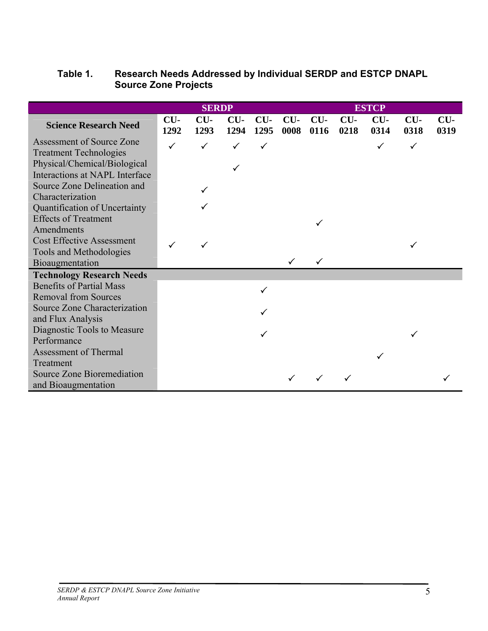# <span id="page-7-0"></span>**Table 1. Research Needs Addressed by Individual SERDP and ESTCP DNAPL Source Zone Projects**

|                                                | <b>SERDP</b>  |               |               |               | <b>ESTCP</b>  |               |               |               |               |               |  |
|------------------------------------------------|---------------|---------------|---------------|---------------|---------------|---------------|---------------|---------------|---------------|---------------|--|
| <b>Science Research Need</b>                   | $CU-$<br>1292 | $CU-$<br>1293 | $CU-$<br>1294 | $CU-$<br>1295 | $CU-$<br>0008 | $CU-$<br>0116 | $CU-$<br>0218 | $CU-$<br>0314 | $CU-$<br>0318 | $CU-$<br>0319 |  |
| Assessment of Source Zone                      | $\checkmark$  |               |               | $\checkmark$  |               |               |               |               | ✓             |               |  |
| <b>Treatment Technologies</b>                  |               |               |               |               |               |               |               |               |               |               |  |
| Physical/Chemical/Biological                   |               |               |               |               |               |               |               |               |               |               |  |
| Interactions at NAPL Interface                 |               |               |               |               |               |               |               |               |               |               |  |
| Source Zone Delineation and                    |               |               |               |               |               |               |               |               |               |               |  |
| Characterization                               |               |               |               |               |               |               |               |               |               |               |  |
| Quantification of Uncertainty                  |               |               |               |               |               |               |               |               |               |               |  |
| <b>Effects of Treatment</b>                    |               |               |               |               |               |               |               |               |               |               |  |
| Amendments<br><b>Cost Effective Assessment</b> |               |               |               |               |               |               |               |               |               |               |  |
| Tools and Methodologies                        |               |               |               |               |               |               |               |               |               |               |  |
| Bioaugmentation                                |               |               |               |               |               |               |               |               |               |               |  |
| <b>Technology Research Needs</b>               |               |               |               |               |               |               |               |               |               |               |  |
| <b>Benefits of Partial Mass</b>                |               |               |               |               |               |               |               |               |               |               |  |
| <b>Removal from Sources</b>                    |               |               |               | ✓             |               |               |               |               |               |               |  |
| Source Zone Characterization                   |               |               |               |               |               |               |               |               |               |               |  |
| and Flux Analysis                              |               |               |               |               |               |               |               |               |               |               |  |
| Diagnostic Tools to Measure                    |               |               |               |               |               |               |               |               |               |               |  |
| Performance                                    |               |               |               |               |               |               |               |               |               |               |  |
| <b>Assessment of Thermal</b>                   |               |               |               |               |               |               |               |               |               |               |  |
| Treatment                                      |               |               |               |               |               |               |               |               |               |               |  |
| Source Zone Bioremediation                     |               |               |               |               |               |               |               |               |               |               |  |
| and Bioaugmentation                            |               |               |               |               |               |               |               |               |               |               |  |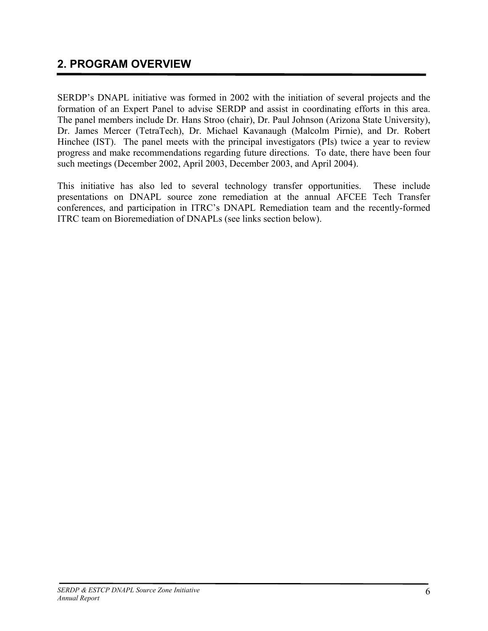# <span id="page-8-0"></span>**2. PROGRAM OVERVIEW**

SERDP's DNAPL initiative was formed in 2002 with the initiation of several projects and the formation of an Expert Panel to advise SERDP and assist in coordinating efforts in this area. The panel members include Dr. Hans Stroo (chair), Dr. Paul Johnson (Arizona State University), Dr. James Mercer (TetraTech), Dr. Michael Kavanaugh (Malcolm Pirnie), and Dr. Robert Hinchee (IST). The panel meets with the principal investigators (PIs) twice a year to review progress and make recommendations regarding future directions. To date, there have been four such meetings (December 2002, April 2003, December 2003, and April 2004).

This initiative has also led to several technology transfer opportunities. These include presentations on DNAPL source zone remediation at the annual AFCEE Tech Transfer conferences, and participation in ITRC's DNAPL Remediation team and the recently-formed ITRC team on Bioremediation of DNAPLs (see links section below).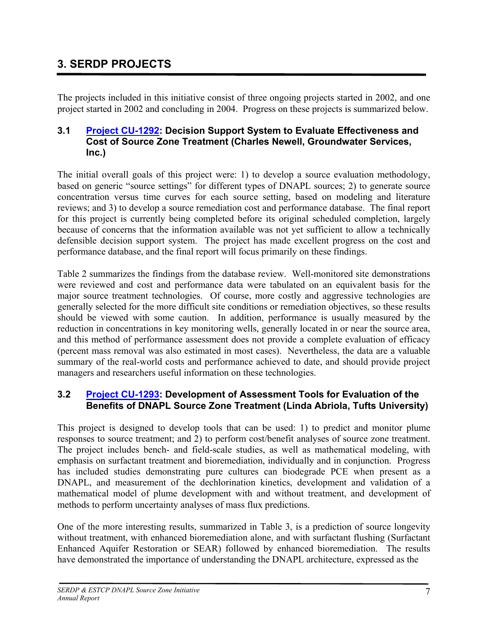# <span id="page-9-0"></span>**3. SERDP PROJECTS**

The projects included in this initiative consist of three ongoing projects started in 2002, and one project started in 2002 and concluding in 2004. Progress on these projects is summarized below.

# **3.1 [Project CU-1292:](http://www.serdp.org/research/CU/CU-1292.pdf) Decision Support System to Evaluate Effectiveness and Cost of Source Zone Treatment (Charles Newell, Groundwater Services, Inc.)**

The initial overall goals of this project were: 1) to develop a source evaluation methodology, based on generic "source settings" for different types of DNAPL sources; 2) to generate source concentration versus time curves for each source setting, based on modeling and literature reviews; and 3) to develop a source remediation cost and performance database. The final report for this project is currently being completed before its original scheduled completion, largely because of concerns that the information available was not yet sufficient to allow a technically defensible decision support system. The project has made excellent progress on the cost and performance database, and the final report will focus primarily on these findings.

Table 2 summarizes the findings from the database review. Well-monitored site demonstrations were reviewed and cost and performance data were tabulated on an equivalent basis for the major source treatment technologies. Of course, more costly and aggressive technologies are generally selected for the more difficult site conditions or remediation objectives, so these results should be viewed with some caution. In addition, performance is usually measured by the reduction in concentrations in key monitoring wells, generally located in or near the source area, and this method of performance assessment does not provide a complete evaluation of efficacy (percent mass removal was also estimated in most cases). Nevertheless, the data are a valuable summary of the real-world costs and performance achieved to date, and should provide project managers and researchers useful information on these technologies.

# **3.2 [Project CU-1293:](http://www.serdp.org/research/CU/CU-1293.pdf) Development of Assessment Tools for Evaluation of the Benefits of DNAPL Source Zone Treatment (Linda Abriola, Tufts University)**

This project is designed to develop tools that can be used: 1) to predict and monitor plume responses to source treatment; and 2) to perform cost/benefit analyses of source zone treatment. The project includes bench- and field-scale studies, as well as mathematical modeling, with emphasis on surfactant treatment and bioremediation, individually and in conjunction. Progress has included studies demonstrating pure cultures can biodegrade PCE when present as a DNAPL, and measurement of the dechlorination kinetics, development and validation of a mathematical model of plume development with and without treatment, and development of methods to perform uncertainty analyses of mass flux predictions.

One of the more interesting results, summarized in Table 3, is a prediction of source longevity without treatment, with enhanced bioremediation alone, and with surfactant flushing (Surfactant Enhanced Aquifer Restoration or SEAR) followed by enhanced bioremediation. The results have demonstrated the importance of understanding the DNAPL architecture, expressed as the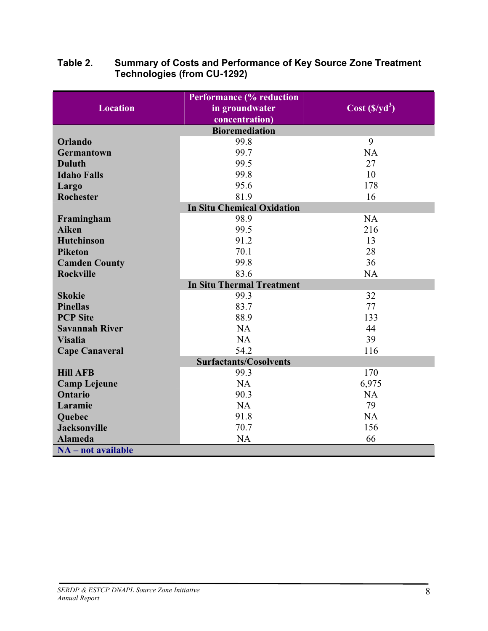|                                  | <b>Performance (% reduction</b>   |                |  |  |  |  |  |  |  |  |  |
|----------------------------------|-----------------------------------|----------------|--|--|--|--|--|--|--|--|--|
| <b>Location</b>                  | in groundwater                    | $Cost(S/yd^3)$ |  |  |  |  |  |  |  |  |  |
| concentration)                   |                                   |                |  |  |  |  |  |  |  |  |  |
| <b>Bioremediation</b>            |                                   |                |  |  |  |  |  |  |  |  |  |
| Orlando                          | 99.8                              | 9              |  |  |  |  |  |  |  |  |  |
| <b>Germantown</b>                | 99.7                              | NA             |  |  |  |  |  |  |  |  |  |
| <b>Duluth</b>                    | 99.5                              | 27             |  |  |  |  |  |  |  |  |  |
| <b>Idaho Falls</b>               | 99.8                              | 10             |  |  |  |  |  |  |  |  |  |
| Largo                            | 95.6                              | 178            |  |  |  |  |  |  |  |  |  |
| <b>Rochester</b>                 | 81.9                              | 16             |  |  |  |  |  |  |  |  |  |
|                                  | <b>In Situ Chemical Oxidation</b> |                |  |  |  |  |  |  |  |  |  |
| Framingham                       | 98.9                              | NA             |  |  |  |  |  |  |  |  |  |
| <b>Aiken</b>                     | 99.5                              | 216            |  |  |  |  |  |  |  |  |  |
| <b>Hutchinson</b>                | 91.2                              | 13             |  |  |  |  |  |  |  |  |  |
| <b>Piketon</b>                   | 70.1                              | 28             |  |  |  |  |  |  |  |  |  |
| <b>Camden County</b>             | 99.8                              | 36             |  |  |  |  |  |  |  |  |  |
| <b>Rockville</b>                 | 83.6                              | <b>NA</b>      |  |  |  |  |  |  |  |  |  |
| <b>In Situ Thermal Treatment</b> |                                   |                |  |  |  |  |  |  |  |  |  |
| <b>Skokie</b>                    | 99.3                              | 32             |  |  |  |  |  |  |  |  |  |
| <b>Pinellas</b>                  | 83.7                              | 77             |  |  |  |  |  |  |  |  |  |
| <b>PCP Site</b>                  | 88.9                              | 133            |  |  |  |  |  |  |  |  |  |
| <b>Savannah River</b>            | NA                                | 44             |  |  |  |  |  |  |  |  |  |
| <b>Visalia</b>                   | <b>NA</b>                         | 39             |  |  |  |  |  |  |  |  |  |
| <b>Cape Canaveral</b>            | 54.2                              | 116            |  |  |  |  |  |  |  |  |  |
|                                  | <b>Surfactants/Cosolvents</b>     |                |  |  |  |  |  |  |  |  |  |
| <b>Hill AFB</b>                  | 99.3                              | 170            |  |  |  |  |  |  |  |  |  |
| <b>Camp Lejeune</b>              | <b>NA</b>                         | 6,975          |  |  |  |  |  |  |  |  |  |
| <b>Ontario</b>                   | 90.3                              | <b>NA</b>      |  |  |  |  |  |  |  |  |  |
| Laramie                          | NA                                | 79             |  |  |  |  |  |  |  |  |  |
| Quebec                           | 91.8                              | <b>NA</b>      |  |  |  |  |  |  |  |  |  |
| <b>Jacksonville</b>              | 70.7                              | 156            |  |  |  |  |  |  |  |  |  |
| <b>Alameda</b>                   | <b>NA</b>                         | 66             |  |  |  |  |  |  |  |  |  |
| NA - not available               |                                   |                |  |  |  |  |  |  |  |  |  |

### <span id="page-10-0"></span>**Table 2. Summary of Costs and Performance of Key Source Zone Treatment Technologies (from CU-1292)**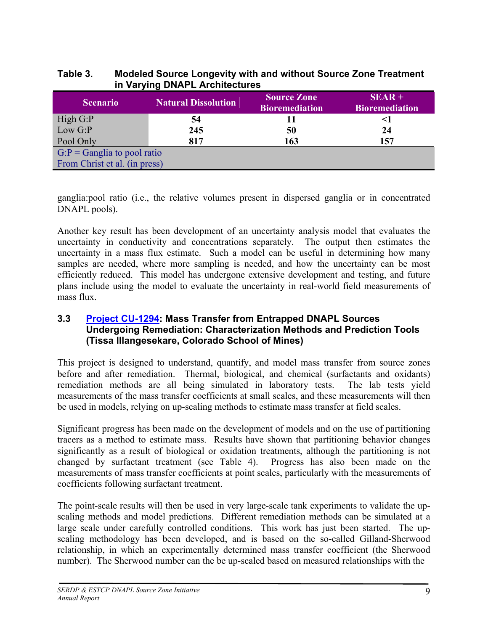### <span id="page-11-0"></span>**Table 3. Modeled Source Longevity with and without Source Zone Treatment in Varying DNAPL Architectures**

| <b>Scenario</b>                | <b>Natural Dissolution</b> | <b>Source Zone</b><br><b>Bioremediation</b> | $SEAR +$<br><b>Bioremediation</b> |
|--------------------------------|----------------------------|---------------------------------------------|-----------------------------------|
| High $G$ : $P$                 | 54                         |                                             | <1                                |
| Low $G$ : $P$                  | 245                        | 50                                          | 24                                |
| Pool Only                      | 817                        | 163                                         | 157                               |
| $G: P =$ Ganglia to pool ratio |                            |                                             |                                   |
| From Christ et al. (in press)  |                            |                                             |                                   |

ganglia:pool ratio (i.e., the relative volumes present in dispersed ganglia or in concentrated DNAPL pools).

Another key result has been development of an uncertainty analysis model that evaluates the uncertainty in conductivity and concentrations separately. The output then estimates the uncertainty in a mass flux estimate. Such a model can be useful in determining how many samples are needed, where more sampling is needed, and how the uncertainty can be most efficiently reduced. This model has undergone extensive development and testing, and future plans include using the model to evaluate the uncertainty in real-world field measurements of mass flux.

### **3.3 [Project CU-1294:](http://www.serdp.org/research/CU/CU-1294.pdf) Mass Transfer from Entrapped DNAPL Sources Undergoing Remediation: Characterization Methods and Prediction Tools (Tissa Illangesekare, Colorado School of Mines)**

This project is designed to understand, quantify, and model mass transfer from source zones before and after remediation. Thermal, biological, and chemical (surfactants and oxidants) remediation methods are all being simulated in laboratory tests. The lab tests yield measurements of the mass transfer coefficients at small scales, and these measurements will then be used in models, relying on up-scaling methods to estimate mass transfer at field scales.

Significant progress has been made on the development of models and on the use of partitioning tracers as a method to estimate mass. Results have shown that partitioning behavior changes significantly as a result of biological or oxidation treatments, although the partitioning is not changed by surfactant treatment (see Table 4). Progress has also been made on the measurements of mass transfer coefficients at point scales, particularly with the measurements of coefficients following surfactant treatment.

The point-scale results will then be used in very large-scale tank experiments to validate the upscaling methods and model predictions. Different remediation methods can be simulated at a large scale under carefully controlled conditions. This work has just been started. The upscaling methodology has been developed, and is based on the so-called Gilland-Sherwood relationship, in which an experimentally determined mass transfer coefficient (the Sherwood number). The Sherwood number can the be up-scaled based on measured relationships with the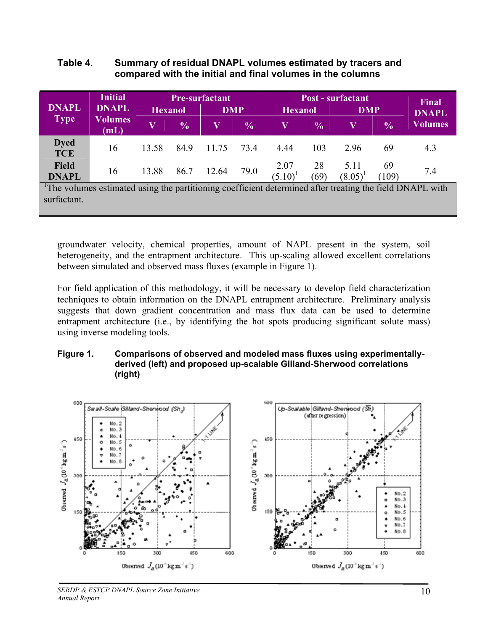#### <span id="page-12-0"></span>**Table 4. Summary of residual DNAPL volumes estimated by tracers and compared with the initial and final volumes in the columns**

|                              | <b>Initial</b><br><b>DNAPL</b><br><b>Volumes</b><br>(mL) |                | <b>Pre-surfactant</b> |            |               |                | <b>Post - surfactant</b> |                |               |                              |  |
|------------------------------|----------------------------------------------------------|----------------|-----------------------|------------|---------------|----------------|--------------------------|----------------|---------------|------------------------------|--|
| <b>DNAPL</b>                 |                                                          | <b>Hexanol</b> |                       | <b>DMP</b> |               | <b>Hexanol</b> |                          | <b>DMP</b>     |               | <b>Final</b><br><b>DNAPL</b> |  |
| <b>Type</b>                  |                                                          | V              | $\frac{6}{6}$         |            | $\frac{6}{6}$ |                | $\frac{0}{0}$            | V              | $\frac{0}{0}$ | <b>Volumes</b>               |  |
| <b>Dyed</b><br><b>TCE</b>    | 16                                                       | 13.58          | 84.9                  | 11.75      | 734           | 4.44           | 103                      | 296            | 69            | 4.3                          |  |
| <b>Field</b><br><b>DNAPL</b> | 16                                                       | 13.88          | 86.7                  | 12.64      | 79.0          | 2.07<br>(5.10) | 28<br>(69)               | 5.11<br>(8.05) | 69<br>(109)   | 7.4                          |  |

volumes estimated using the partitioning coefficient determined after treating the field DNAPL with surfactant.

groundwater velocity, chemical properties, amount of NAPL present in the system, soil heterogeneity, and the entrapment architecture. This up-scaling allowed excellent correlations between simulated and observed mass fluxes (example in Figure 1).

For field application of this methodology, it will be necessary to develop field characterization techniques to obtain information on the DNAPL entrapment architecture. Preliminary analysis suggests that down gradient concentration and mass flux data can be used to determine entrapment architecture (i.e., by identifying the hot spots producing significant solute mass) using inverse modeling tools.

#### **Figure 1. Comparisons of observed and modeled mass fluxes using experimentallyderived (left) and proposed up-scalable Gilland-Sherwood correlations (right)**



*SERDP & ESTCP DNAPL Source Zone Initiative Annual Report*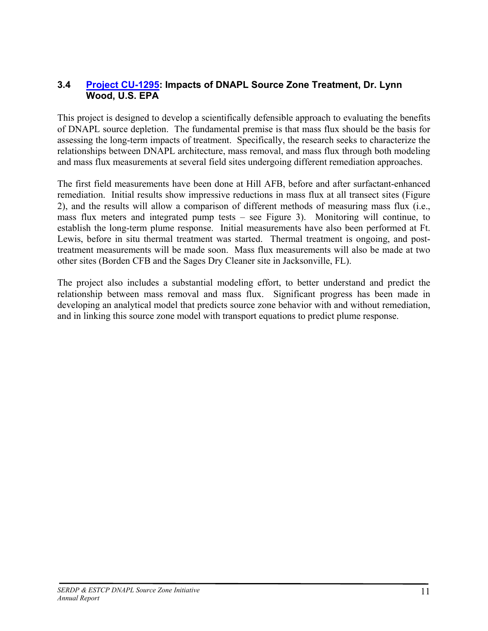# <span id="page-13-0"></span>**3.4 [Project CU-1295:](http://www.serdp.org/research/CU/CU-1295.pdf) Impacts of DNAPL Source Zone Treatment, Dr. Lynn Wood, U.S. EPA**

This project is designed to develop a scientifically defensible approach to evaluating the benefits of DNAPL source depletion. The fundamental premise is that mass flux should be the basis for assessing the long-term impacts of treatment. Specifically, the research seeks to characterize the relationships between DNAPL architecture, mass removal, and mass flux through both modeling and mass flux measurements at several field sites undergoing different remediation approaches.

The first field measurements have been done at Hill AFB, before and after surfactant-enhanced remediation. Initial results show impressive reductions in mass flux at all transect sites (Figure 2), and the results will allow a comparison of different methods of measuring mass flux (i.e., mass flux meters and integrated pump tests – see Figure 3). Monitoring will continue, to establish the long-term plume response. Initial measurements have also been performed at Ft. Lewis, before in situ thermal treatment was started. Thermal treatment is ongoing, and posttreatment measurements will be made soon. Mass flux measurements will also be made at two other sites (Borden CFB and the Sages Dry Cleaner site in Jacksonville, FL).

The project also includes a substantial modeling effort, to better understand and predict the relationship between mass removal and mass flux. Significant progress has been made in developing an analytical model that predicts source zone behavior with and without remediation, and in linking this source zone model with transport equations to predict plume response.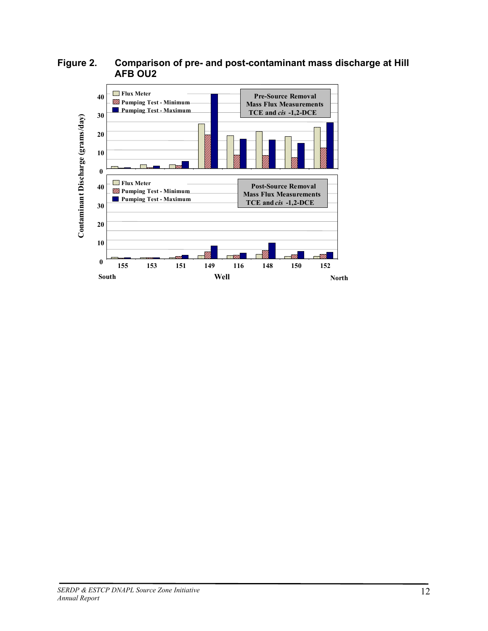

<span id="page-14-0"></span>**Figure 2. Comparison of pre- and post-contaminant mass discharge at Hill AFB OU2**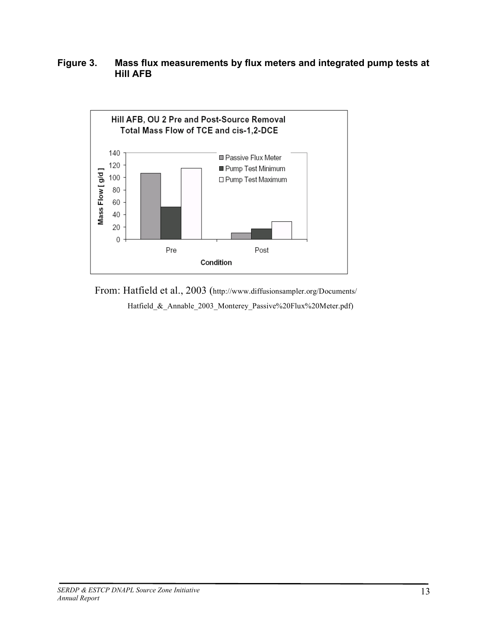# <span id="page-15-0"></span>**Figure 3. Mass flux measurements by flux meters and integrated pump tests at Hill AFB**



From: Hatfield et al., 2003 (http://www.diffusionsampler.org/Documents/ Hatfield\_&\_Annable\_2003\_Monterey\_Passive%20Flux%20Meter.pdf)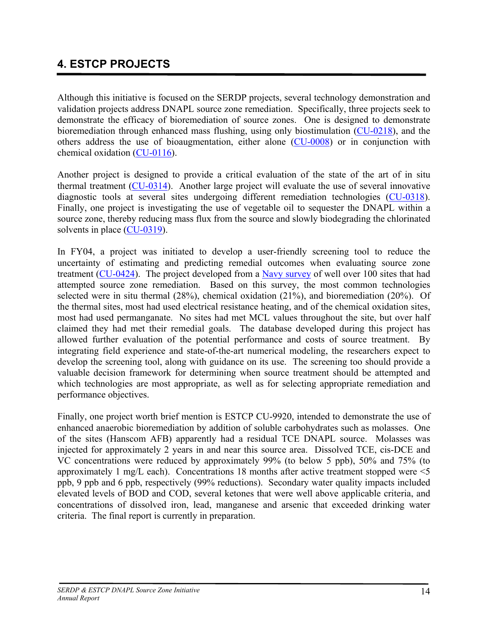# <span id="page-16-0"></span>**4. ESTCP PROJECTS**

Although this initiative is focused on the SERDP projects, several technology demonstration and validation projects address DNAPL source zone remediation. Specifically, three projects seek to demonstrate the efficacy of bioremediation of source zones. One is designed to demonstrate bioremediation through enhanced mass flushing, using only biostimulation ([CU-0218\)](http://www.estcp.org/projects/cleanup/200218o.cfm), and the others address the use of bioaugmentation, either alone ([CU-0008\)](http://www.estcp.org/projects/cleanup/200008o.cfm) or in conjunction with chemical oxidation ([CU-0116](http://www.estcp.org/projects/cleanup/200116o.cfm)).

Another project is designed to provide a critical evaluation of the state of the art of in situ thermal treatment ([CU-0314](http://www.estcp.org/projects/cleanup/200314o.cfm)). Another large project will evaluate the use of several innovative diagnostic tools at several sites undergoing different remediation technologies [\(CU-0318\)](http://www.estcp.org/projects/cleanup/CU-0318.cfm). Finally, one project is investigating the use of vegetable oil to sequester the DNAPL within a source zone, thereby reducing mass flux from the source and slowly biodegrading the chlorinated solvents in place ([CU-0319\)](http://www.estcp.org/projects/cleanup/CU-0319.cfm).

In FY04, a project was initiated to develop a user-friendly screening tool to reduce the uncertainty of estimating and predicting remedial outcomes when evaluating source zone treatment ([CU-0424](http://www.estcp.org/projects/cleanup/CU-0424.cfm)). The project developed from a [Navy survey](http://enviro.nfesc.navy.mil/erb/erb_a/restoration/fcs_area/dnapl/cr-04-002-dnapl.pdf) of well over 100 sites that had attempted source zone remediation. Based on this survey, the most common technologies selected were in situ thermal (28%), chemical oxidation (21%), and bioremediation (20%). Of the thermal sites, most had used electrical resistance heating, and of the chemical oxidation sites, most had used permanganate. No sites had met MCL values throughout the site, but over half claimed they had met their remedial goals. The database developed during this project has allowed further evaluation of the potential performance and costs of source treatment. By integrating field experience and state-of-the-art numerical modeling, the researchers expect to develop the screening tool, along with guidance on its use. The screening too should provide a valuable decision framework for determining when source treatment should be attempted and which technologies are most appropriate, as well as for selecting appropriate remediation and performance objectives.

Finally, one project worth brief mention is ESTCP CU-9920, intended to demonstrate the use of enhanced anaerobic bioremediation by addition of soluble carbohydrates such as molasses. One of the sites (Hanscom AFB) apparently had a residual TCE DNAPL source. Molasses was injected for approximately 2 years in and near this source area. Dissolved TCE, cis-DCE and VC concentrations were reduced by approximately 99% (to below 5 ppb), 50% and 75% (to approximately 1 mg/L each). Concentrations 18 months after active treatment stopped were <5 ppb, 9 ppb and 6 ppb, respectively (99% reductions). Secondary water quality impacts included elevated levels of BOD and COD, several ketones that were well above applicable criteria, and concentrations of dissolved iron, lead, manganese and arsenic that exceeded drinking water criteria. The final report is currently in preparation.